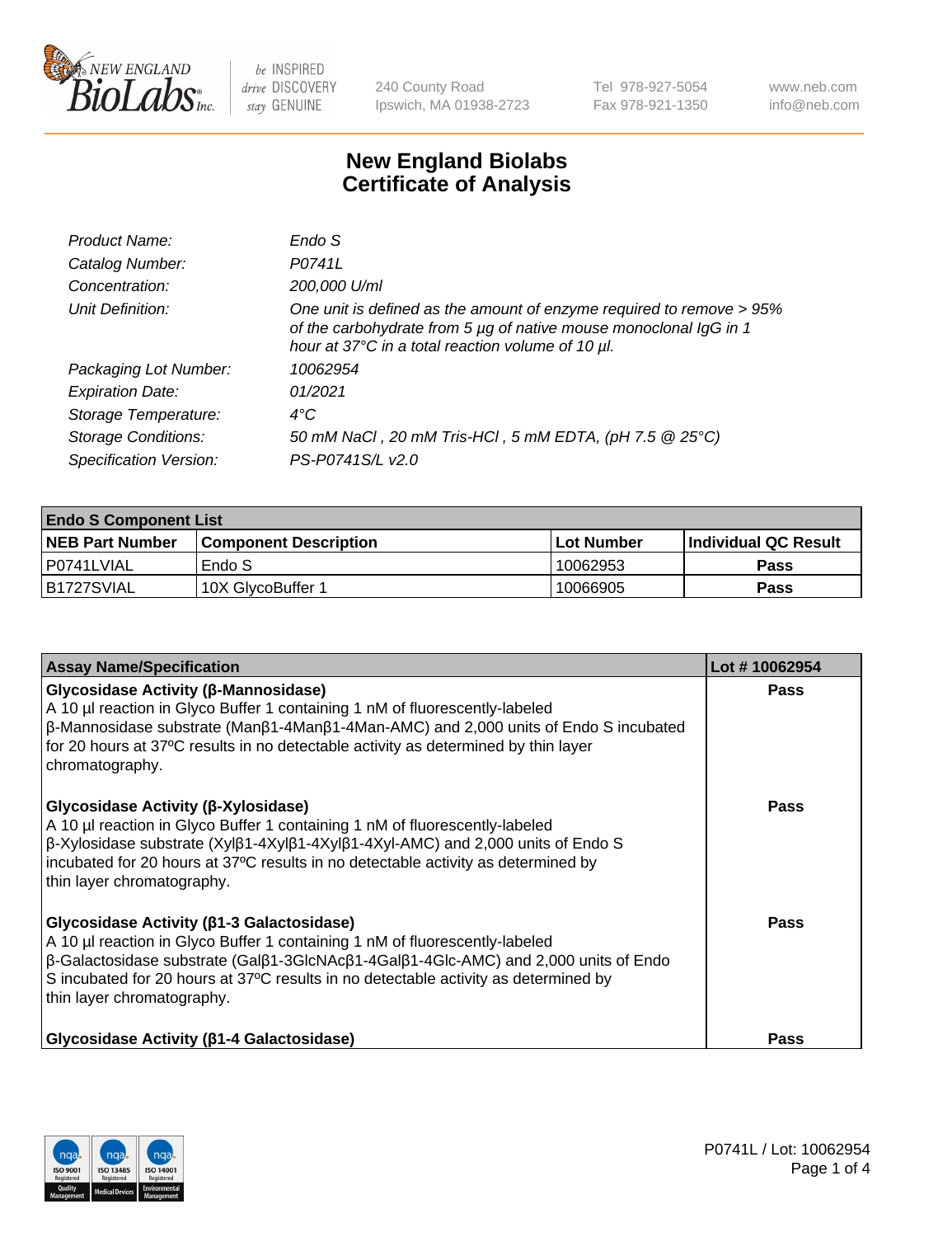

240 County Road Ipswich, MA 01938-2723 Tel 978-927-5054 Fax 978-921-1350 www.neb.com info@neb.com

## **New England Biolabs Certificate of Analysis**

| Product Name:              | Endo S                                                                                                                                                                                         |
|----------------------------|------------------------------------------------------------------------------------------------------------------------------------------------------------------------------------------------|
| Catalog Number:            | P0741L                                                                                                                                                                                         |
| Concentration:             | 200,000 U/ml                                                                                                                                                                                   |
| Unit Definition:           | One unit is defined as the amount of enzyme required to remove > 95%<br>of the carbohydrate from 5 µg of native mouse monoclonal IgG in 1<br>hour at 37°C in a total reaction volume of 10 µl. |
| Packaging Lot Number:      | 10062954                                                                                                                                                                                       |
| <b>Expiration Date:</b>    | 01/2021                                                                                                                                                                                        |
| Storage Temperature:       | $4^{\circ}$ C                                                                                                                                                                                  |
| <b>Storage Conditions:</b> | 50 mM NaCl, 20 mM Tris-HCl, 5 mM EDTA, (pH 7.5 @ 25°C)                                                                                                                                         |
| Specification Version:     | PS-P0741S/L v2.0                                                                                                                                                                               |

| <b>Endo S Component List</b> |                         |            |                             |  |  |
|------------------------------|-------------------------|------------|-----------------------------|--|--|
| <b>NEB Part Number</b>       | l Component Description | Lot Number | <b>Individual QC Result</b> |  |  |
| l P0741LVIAL                 | Endo S                  | 10062953   | Pass                        |  |  |
| B1727SVIAL                   | 10X GlycoBuffer 1       | 10066905   | Pass                        |  |  |

| <b>Assay Name/Specification</b>                                                                                                                                                                                                                                                                                                                                     | Lot #10062954 |
|---------------------------------------------------------------------------------------------------------------------------------------------------------------------------------------------------------------------------------------------------------------------------------------------------------------------------------------------------------------------|---------------|
| Glycosidase Activity (β-Mannosidase)<br>A 10 µl reaction in Glyco Buffer 1 containing 1 nM of fluorescently-labeled<br>$\beta$ -Mannosidase substrate (Man $\beta$ 1-4Man $\beta$ 1-4Man-AMC) and 2,000 units of Endo S incubated<br>for 20 hours at 37°C results in no detectable activity as determined by thin layer<br>chromatography.                          | <b>Pass</b>   |
| Glycosidase Activity (β-Xylosidase)<br>A 10 µl reaction in Glyco Buffer 1 containing 1 nM of fluorescently-labeled<br>$\beta$ -Xylosidase substrate (Xyl $\beta$ 1-4Xyl $\beta$ 1-4Xyl $\beta$ 1-4Xyl-AMC) and 2,000 units of Endo S<br>incubated for 20 hours at 37°C results in no detectable activity as determined by<br>thin layer chromatography.             | <b>Pass</b>   |
| Glycosidase Activity (β1-3 Galactosidase)<br>A 10 µl reaction in Glyco Buffer 1 containing 1 nM of fluorescently-labeled<br>$\beta$ -Galactosidase substrate (Gal $\beta$ 1-3GlcNAc $\beta$ 1-4Gal $\beta$ 1-4Glc-AMC) and 2,000 units of Endo<br>S incubated for 20 hours at 37°C results in no detectable activity as determined by<br>thin layer chromatography. | Pass          |
| <b>Glycosidase Activity (β1-4 Galactosidase)</b>                                                                                                                                                                                                                                                                                                                    | <b>Pass</b>   |

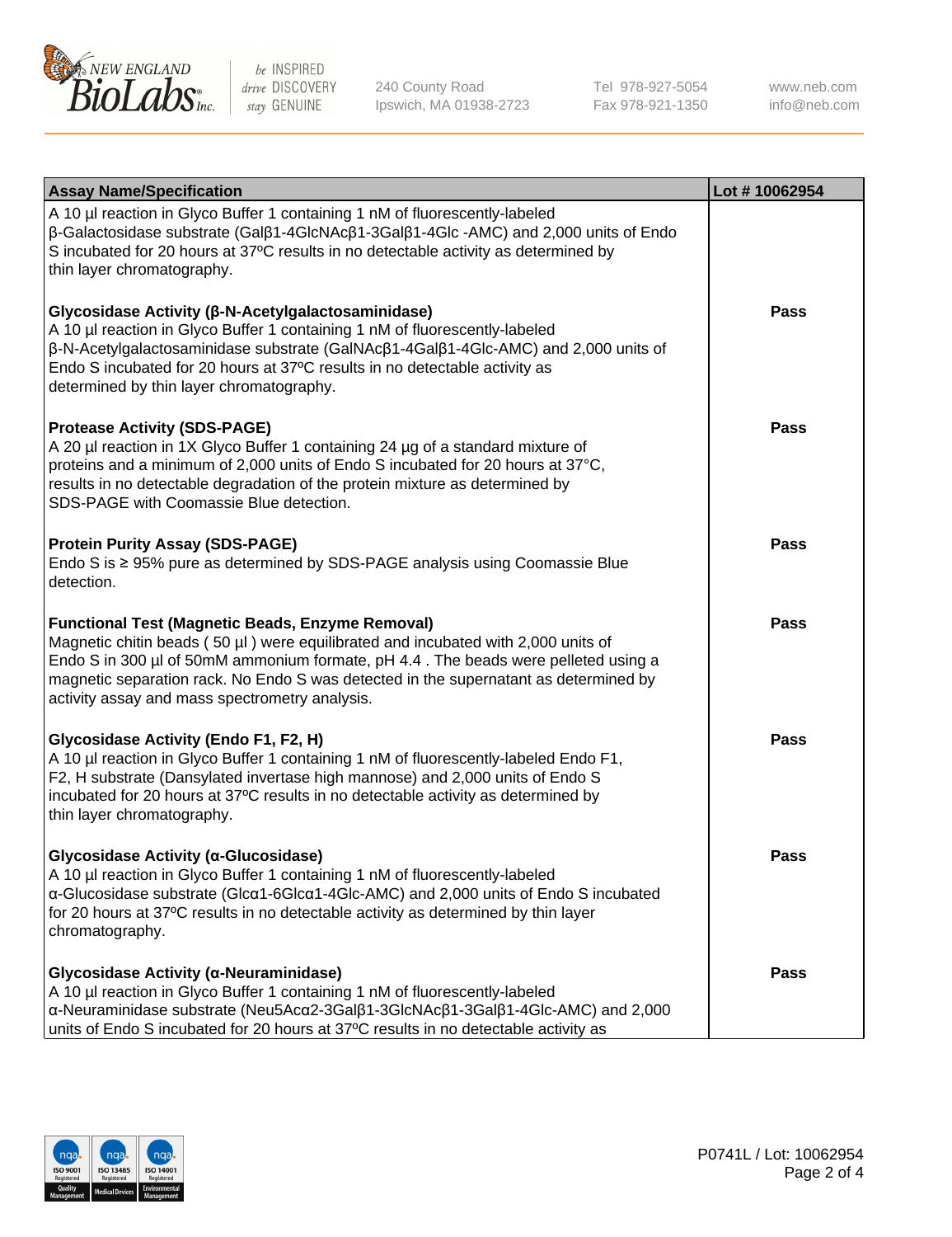

240 County Road Ipswich, MA 01938-2723 Tel 978-927-5054 Fax 978-921-1350 www.neb.com info@neb.com

| <b>Assay Name/Specification</b>                                                                                                                                                                                                                                                                                                                                              | Lot #10062954 |
|------------------------------------------------------------------------------------------------------------------------------------------------------------------------------------------------------------------------------------------------------------------------------------------------------------------------------------------------------------------------------|---------------|
| A 10 µl reaction in Glyco Buffer 1 containing 1 nM of fluorescently-labeled<br>$\beta$ -Galactosidase substrate (Gal $\beta$ 1-4GlcNAc $\beta$ 1-3Gal $\beta$ 1-4Glc -AMC) and 2,000 units of Endo<br>S incubated for 20 hours at 37°C results in no detectable activity as determined by<br>thin layer chromatography.                                                      |               |
| Glycosidase Activity (β-N-Acetylgalactosaminidase)<br>A 10 µl reaction in Glyco Buffer 1 containing 1 nM of fluorescently-labeled<br>β-N-Acetylgalactosaminidase substrate (GalNAcβ1-4Galβ1-4Glc-AMC) and 2,000 units of<br>Endo S incubated for 20 hours at 37°C results in no detectable activity as<br>determined by thin layer chromatography.                           | <b>Pass</b>   |
| <b>Protease Activity (SDS-PAGE)</b><br>A 20 µl reaction in 1X Glyco Buffer 1 containing 24 µg of a standard mixture of<br>proteins and a minimum of 2,000 units of Endo S incubated for 20 hours at 37°C,<br>results in no detectable degradation of the protein mixture as determined by<br>SDS-PAGE with Coomassie Blue detection.                                         | <b>Pass</b>   |
| <b>Protein Purity Assay (SDS-PAGE)</b><br>Endo S is ≥ 95% pure as determined by SDS-PAGE analysis using Coomassie Blue<br>detection.                                                                                                                                                                                                                                         | <b>Pass</b>   |
| <b>Functional Test (Magnetic Beads, Enzyme Removal)</b><br>Magnetic chitin beads (50 µl) were equilibrated and incubated with 2,000 units of<br>Endo S in 300 µl of 50mM ammonium formate, pH 4.4. The beads were pelleted using a<br>magnetic separation rack. No Endo S was detected in the supernatant as determined by<br>activity assay and mass spectrometry analysis. | <b>Pass</b>   |
| Glycosidase Activity (Endo F1, F2, H)<br>A 10 µl reaction in Glyco Buffer 1 containing 1 nM of fluorescently-labeled Endo F1,<br>F2, H substrate (Dansylated invertase high mannose) and 2,000 units of Endo S<br>incubated for 20 hours at 37°C results in no detectable activity as determined by<br>thin layer chromatography.                                            | <b>Pass</b>   |
| Glycosidase Activity (α-Glucosidase)<br>A 10 µl reaction in Glyco Buffer 1 containing 1 nM of fluorescently-labeled<br>α-Glucosidase substrate (Glcα1-6Glcα1-4Glc-AMC) and 2,000 units of Endo S incubated<br>for 20 hours at 37°C results in no detectable activity as determined by thin layer<br>chromatography.                                                          | <b>Pass</b>   |
| Glycosidase Activity (α-Neuraminidase)<br>A 10 µl reaction in Glyco Buffer 1 containing 1 nM of fluorescently-labeled<br>α-Neuraminidase substrate (Neu5Acα2-3Galβ1-3GlcNAcβ1-3Galβ1-4Glc-AMC) and 2,000<br>units of Endo S incubated for 20 hours at 37°C results in no detectable activity as                                                                              | <b>Pass</b>   |

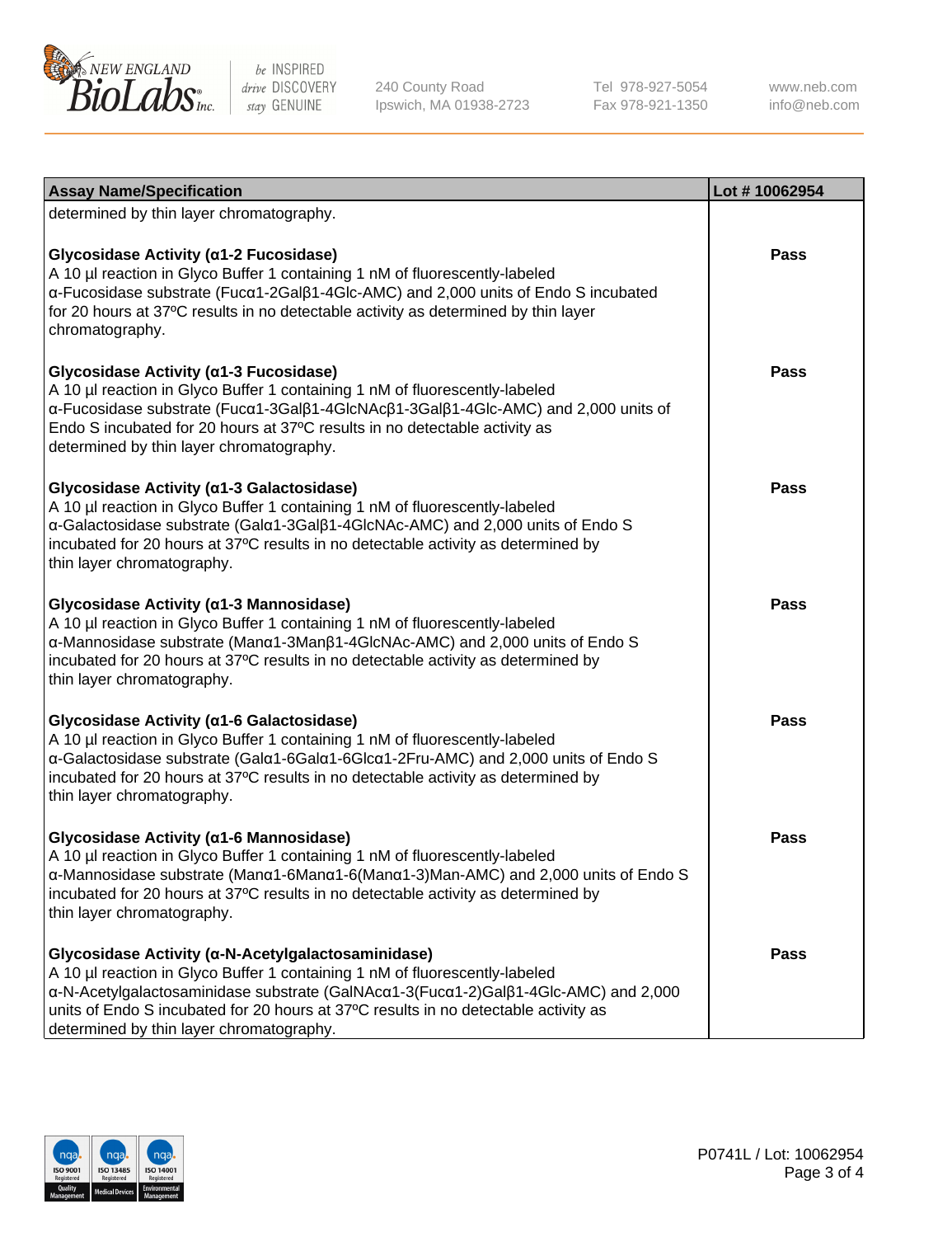

240 County Road Ipswich, MA 01938-2723 Tel 978-927-5054 Fax 978-921-1350

www.neb.com info@neb.com

| <b>Assay Name/Specification</b>                                                                                                                                                                                                                                                                                                                             | Lot #10062954 |
|-------------------------------------------------------------------------------------------------------------------------------------------------------------------------------------------------------------------------------------------------------------------------------------------------------------------------------------------------------------|---------------|
| determined by thin layer chromatography.                                                                                                                                                                                                                                                                                                                    |               |
| Glycosidase Activity (α1-2 Fucosidase)<br>A 10 µl reaction in Glyco Buffer 1 containing 1 nM of fluorescently-labeled<br>α-Fucosidase substrate (Fucα1-2Galβ1-4Glc-AMC) and 2,000 units of Endo S incubated<br>for 20 hours at 37°C results in no detectable activity as determined by thin layer<br>chromatography.                                        | Pass          |
| Glycosidase Activity (a1-3 Fucosidase)<br>A 10 µl reaction in Glyco Buffer 1 containing 1 nM of fluorescently-labeled<br>α-Fucosidase substrate (Fucα1-3Galβ1-4GlcNAcβ1-3Galβ1-4Glc-AMC) and 2,000 units of<br>Endo S incubated for 20 hours at 37°C results in no detectable activity as<br>determined by thin layer chromatography.                       | Pass          |
| Glycosidase Activity (a1-3 Galactosidase)<br>A 10 µl reaction in Glyco Buffer 1 containing 1 nM of fluorescently-labeled<br>α-Galactosidase substrate (Galα1-3Galβ1-4GlcNAc-AMC) and 2,000 units of Endo S<br>incubated for 20 hours at 37°C results in no detectable activity as determined by<br>thin layer chromatography.                               | Pass          |
| Glycosidase Activity (α1-3 Mannosidase)<br>A 10 µl reaction in Glyco Buffer 1 containing 1 nM of fluorescently-labeled<br>α-Mannosidase substrate (Μanα1-3Μanβ1-4GlcNAc-AMC) and 2,000 units of Endo S<br>incubated for 20 hours at 37°C results in no detectable activity as determined by<br>thin layer chromatography.                                   | Pass          |
| Glycosidase Activity (α1-6 Galactosidase)<br>A 10 µl reaction in Glyco Buffer 1 containing 1 nM of fluorescently-labeled<br>α-Galactosidase substrate (Galα1-6Galα1-6Glcα1-2Fru-AMC) and 2,000 units of Endo S<br>incubated for 20 hours at 37°C results in no detectable activity as determined by<br>thin layer chromatography.                           | <b>Pass</b>   |
| Glycosidase Activity (α1-6 Mannosidase)<br>A 10 µl reaction in Glyco Buffer 1 containing 1 nM of fluorescently-labeled<br>α-Mannosidase substrate (Μanα1-6Μanα1-6(Μanα1-3)Man-AMC) and 2,000 units of Endo S<br>incubated for 20 hours at 37°C results in no detectable activity as determined by<br>thin layer chromatography.                             | <b>Pass</b>   |
| Glycosidase Activity (α-N-Acetylgalactosaminidase)<br>A 10 µl reaction in Glyco Buffer 1 containing 1 nM of fluorescently-labeled<br>α-N-Acetylgalactosaminidase substrate (GalNAcα1-3(Fucα1-2)Galβ1-4Glc-AMC) and 2,000<br>units of Endo S incubated for 20 hours at 37°C results in no detectable activity as<br>determined by thin layer chromatography. | Pass          |